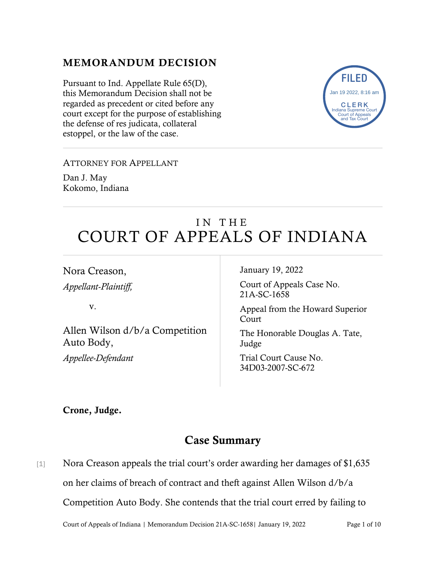### MEMORANDUM DECISION

Pursuant to Ind. Appellate Rule 65(D), this Memorandum Decision shall not be regarded as precedent or cited before any court except for the purpose of establishing the defense of res judicata, collateral estoppel, or the law of the case.



#### ATTORNEY FOR APPELLANT

Dan J. May Kokomo, Indiana

# IN THE COURT OF APPEALS OF INDIANA

Nora Creason,

*Appellant-Plaintiff,*

v.

Allen Wilson d/b/a Competition Auto Body, *Appellee-Defendant*

January 19, 2022

Court of Appeals Case No. 21A-SC-1658

Appeal from the Howard Superior **Court** 

The Honorable Douglas A. Tate, Judge

Trial Court Cause No. 34D03-2007-SC-672

Crone, Judge.

## Case Summary

[1] Nora Creason appeals the trial court's order awarding her damages of \$1,635 on her claims of breach of contract and theft against Allen Wilson d/b/a Competition Auto Body. She contends that the trial court erred by failing to

Court of Appeals of Indiana | Memorandum Decision 21A-SC-1658| January 19, 2022 Page 1 of 10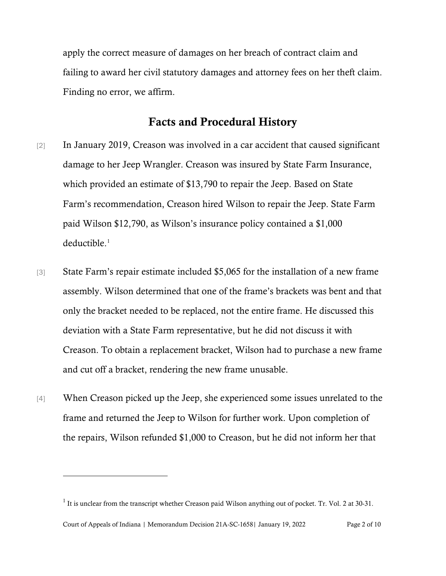apply the correct measure of damages on her breach of contract claim and failing to award her civil statutory damages and attorney fees on her theft claim. Finding no error, we affirm.

## Facts and Procedural History

- [2] In January 2019, Creason was involved in a car accident that caused significant damage to her Jeep Wrangler. Creason was insured by State Farm Insurance, which provided an estimate of \$13,790 to repair the Jeep. Based on State Farm's recommendation, Creason hired Wilson to repair the Jeep. State Farm paid Wilson \$12,790, as Wilson's insurance policy contained a \$1,000 deductible.<sup>[1](#page-1-0)</sup>
- [3] State Farm's repair estimate included \$5,065 for the installation of a new frame assembly. Wilson determined that one of the frame's brackets was bent and that only the bracket needed to be replaced, not the entire frame. He discussed this deviation with a State Farm representative, but he did not discuss it with Creason. To obtain a replacement bracket, Wilson had to purchase a new frame and cut off a bracket, rendering the new frame unusable.
- [4] When Creason picked up the Jeep, she experienced some issues unrelated to the frame and returned the Jeep to Wilson for further work. Upon completion of the repairs, Wilson refunded \$1,000 to Creason, but he did not inform her that

Court of Appeals of Indiana | Memorandum Decision 21A-SC-1658| January 19, 2022 Page 2 of 10

<span id="page-1-0"></span> $1$  It is unclear from the transcript whether Creason paid Wilson anything out of pocket. Tr. Vol. 2 at 30-31.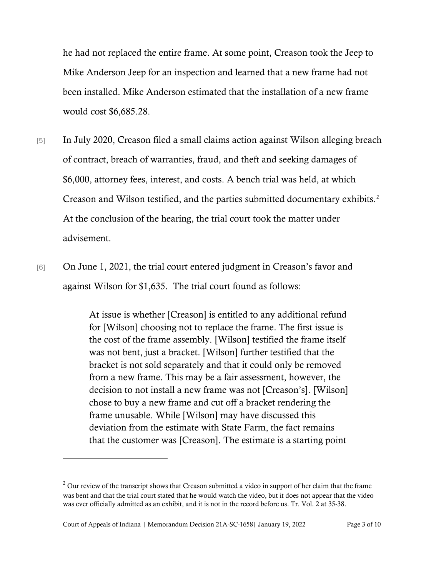he had not replaced the entire frame. At some point, Creason took the Jeep to Mike Anderson Jeep for an inspection and learned that a new frame had not been installed. Mike Anderson estimated that the installation of a new frame would cost \$6,685.28.

- [5] In July 2020, Creason filed a small claims action against Wilson alleging breach of contract, breach of warranties, fraud, and theft and seeking damages of \$6,000, attorney fees, interest, and costs. A bench trial was held, at which Creason and Wilson testified, and the parties submitted documentary exhibits. [2](#page-2-0) At the conclusion of the hearing, the trial court took the matter under advisement.
- [6] On June 1, 2021, the trial court entered judgment in Creason's favor and against Wilson for \$1,635. The trial court found as follows:

At issue is whether [Creason] is entitled to any additional refund for [Wilson] choosing not to replace the frame. The first issue is the cost of the frame assembly. [Wilson] testified the frame itself was not bent, just a bracket. [Wilson] further testified that the bracket is not sold separately and that it could only be removed from a new frame. This may be a fair assessment, however, the decision to not install a new frame was not [Creason's]. [Wilson] chose to buy a new frame and cut off a bracket rendering the frame unusable. While [Wilson] may have discussed this deviation from the estimate with State Farm, the fact remains that the customer was [Creason]. The estimate is a starting point

<span id="page-2-0"></span> $2$  Our review of the transcript shows that Creason submitted a video in support of her claim that the frame was bent and that the trial court stated that he would watch the video, but it does not appear that the video was ever officially admitted as an exhibit, and it is not in the record before us. Tr. Vol. 2 at 35-38.

Court of Appeals of Indiana | Memorandum Decision 21A-SC-1658| January 19, 2022 Page 3 of 10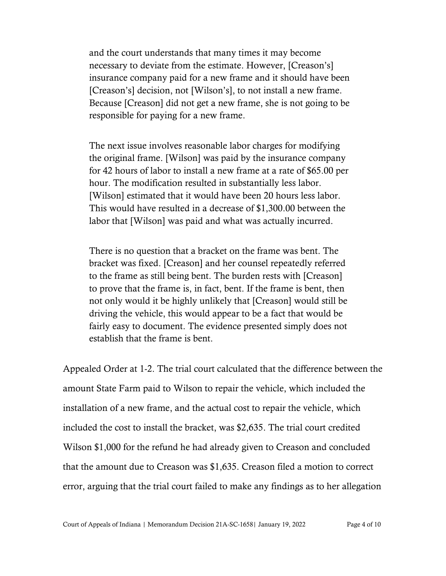and the court understands that many times it may become necessary to deviate from the estimate. However, [Creason's] insurance company paid for a new frame and it should have been [Creason's] decision, not [Wilson's], to not install a new frame. Because [Creason] did not get a new frame, she is not going to be responsible for paying for a new frame.

The next issue involves reasonable labor charges for modifying the original frame. [Wilson] was paid by the insurance company for 42 hours of labor to install a new frame at a rate of \$65.00 per hour. The modification resulted in substantially less labor. [Wilson] estimated that it would have been 20 hours less labor. This would have resulted in a decrease of \$1,300.00 between the labor that [Wilson] was paid and what was actually incurred.

There is no question that a bracket on the frame was bent. The bracket was fixed. [Creason] and her counsel repeatedly referred to the frame as still being bent. The burden rests with [Creason] to prove that the frame is, in fact, bent. If the frame is bent, then not only would it be highly unlikely that [Creason] would still be driving the vehicle, this would appear to be a fact that would be fairly easy to document. The evidence presented simply does not establish that the frame is bent.

Appealed Order at 1-2. The trial court calculated that the difference between the amount State Farm paid to Wilson to repair the vehicle, which included the installation of a new frame, and the actual cost to repair the vehicle, which included the cost to install the bracket, was \$2,635. The trial court credited Wilson \$1,000 for the refund he had already given to Creason and concluded that the amount due to Creason was \$1,635. Creason filed a motion to correct error, arguing that the trial court failed to make any findings as to her allegation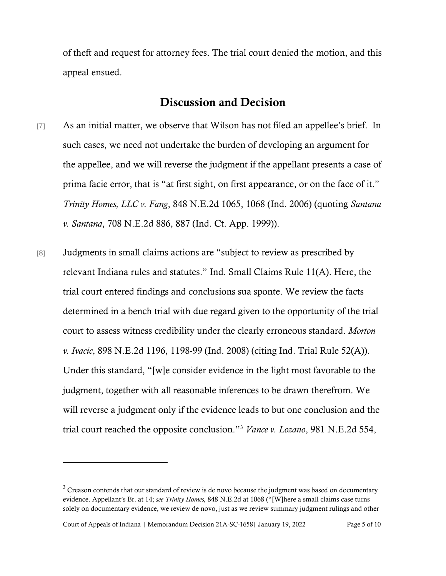of theft and request for attorney fees. The trial court denied the motion, and this appeal ensued.

#### Discussion and Decision

- [7] As an initial matter, we observe that Wilson has not filed an appellee's brief. In such cases, we need not undertake the burden of developing an argument for the appellee, and we will reverse the judgment if the appellant presents a case of prima facie error, that is "at first sight, on first appearance, or on the face of it." *Trinity Homes, LLC v. Fang*, 848 N.E.2d 1065, 1068 (Ind. 2006) (quoting *Santana v. Santana*, 708 N.E.2d 886, 887 (Ind. Ct. App. 1999)).
- [8] Judgments in small claims actions are "subject to review as prescribed by relevant Indiana rules and statutes." Ind. Small Claims Rule 11(A). Here, the trial court entered findings and conclusions sua sponte. We review the facts determined in a bench trial with due regard given to the opportunity of the trial court to assess witness credibility under the clearly erroneous standard. *Morton v. Ivacic*, 898 N.E.2d 1196, 1198-99 (Ind. 2008) (citing Ind. Trial Rule 52(A)). Under this standard, "[w]e consider evidence in the light most favorable to the judgment, together with all reasonable inferences to be drawn therefrom. We will reverse a judgment only if the evidence leads to but one conclusion and the trial court reached the opposite conclusion."[3](#page-4-0) *Vance v. Lozano*, 981 N.E.2d 554,

Court of Appeals of Indiana | Memorandum Decision 21A-SC-1658| January 19, 2022 Page 5 of 10

<span id="page-4-0"></span> $3$  Creason contends that our standard of review is de novo because the judgment was based on documentary evidence. Appellant's Br. at 14; *see Trinity Homes,* 848 N.E.2d at 1068 ("[W]here a small claims case turns solely on documentary evidence, we review de novo, just as we review summary judgment rulings and other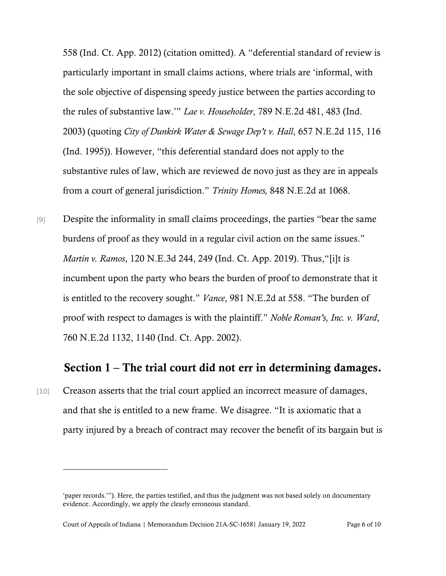558 (Ind. Ct. App. 2012) (citation omitted). A "deferential standard of review is particularly important in small claims actions, where trials are 'informal, with the sole objective of dispensing speedy justice between the parties according to the rules of substantive law.'" *Lae v. Householder*, 789 N.E.2d 481, 483 (Ind. 2003) (quoting *City of Dunkirk Water & Sewage Dep't v. Hall*, 657 N.E.2d 115, 116 (Ind. 1995)). However, "this deferential standard does not apply to the substantive rules of law, which are reviewed de novo just as they are in appeals from a court of general jurisdiction." *Trinity Homes,* 848 N.E.2d at 1068.

[9] Despite the informality in small claims proceedings, the parties "bear the same burdens of proof as they would in a regular civil action on the same issues." *Martin v. Ramos*, 120 N.E.3d 244, 249 (Ind. Ct. App. 2019). Thus,"[i]t is incumbent upon the party who bears the burden of proof to demonstrate that it is entitled to the recovery sought." *Vance*, 981 N.E.2d at 558. "The burden of proof with respect to damages is with the plaintiff." *Noble Roman's, Inc. v. Ward*, 760 N.E.2d 1132, 1140 (Ind. Ct. App. 2002).

#### Section 1 – The trial court did not err in determining damages.

[10] Creason asserts that the trial court applied an incorrect measure of damages, and that she is entitled to a new frame. We disagree. "It is axiomatic that a party injured by a breach of contract may recover the benefit of its bargain but is

<sup>&#</sup>x27;paper records.'"). Here, the parties testified, and thus the judgment was not based solely on documentary evidence. Accordingly, we apply the clearly erroneous standard.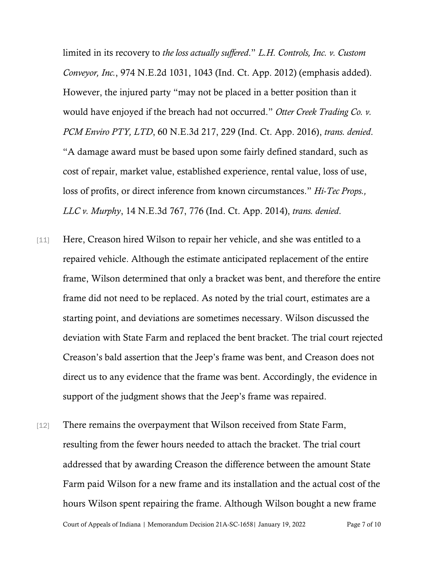limited in its recovery to *the loss actually suffered*." *L.H. Controls, Inc. v. Custom Conveyor, Inc.*, 974 N.E.2d 1031, 1043 (Ind. Ct. App. 2012) (emphasis added). However, the injured party "may not be placed in a better position than it would have enjoyed if the breach had not occurred." *Otter Creek Trading Co. v. PCM Enviro PTY, LTD*, 60 N.E.3d 217, 229 (Ind. Ct. App. 2016), *trans. denied*. "A damage award must be based upon some fairly defined standard, such as cost of repair, market value, established experience, rental value, loss of use, loss of profits, or direct inference from known circumstances." *Hi-Tec Props., LLC v. Murphy*, 14 N.E.3d 767, 776 (Ind. Ct. App. 2014), *trans. denied*.

- [11] Here, Creason hired Wilson to repair her vehicle, and she was entitled to a repaired vehicle. Although the estimate anticipated replacement of the entire frame, Wilson determined that only a bracket was bent, and therefore the entire frame did not need to be replaced. As noted by the trial court, estimates are a starting point, and deviations are sometimes necessary. Wilson discussed the deviation with State Farm and replaced the bent bracket. The trial court rejected Creason's bald assertion that the Jeep's frame was bent, and Creason does not direct us to any evidence that the frame was bent. Accordingly, the evidence in support of the judgment shows that the Jeep's frame was repaired.
- Court of Appeals of Indiana | Memorandum Decision 21A-SC-1658| January 19, 2022 Page 7 of 10 [12] There remains the overpayment that Wilson received from State Farm, resulting from the fewer hours needed to attach the bracket. The trial court addressed that by awarding Creason the difference between the amount State Farm paid Wilson for a new frame and its installation and the actual cost of the hours Wilson spent repairing the frame. Although Wilson bought a new frame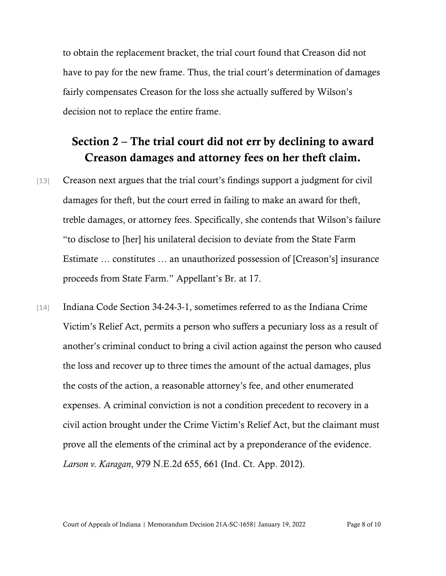to obtain the replacement bracket, the trial court found that Creason did not have to pay for the new frame. Thus, the trial court's determination of damages fairly compensates Creason for the loss she actually suffered by Wilson's decision not to replace the entire frame.

## Section 2 – The trial court did not err by declining to award Creason damages and attorney fees on her theft claim.

- [13] Creason next argues that the trial court's findings support a judgment for civil damages for theft, but the court erred in failing to make an award for theft, treble damages, or attorney fees. Specifically, she contends that Wilson's failure "to disclose to [her] his unilateral decision to deviate from the State Farm Estimate … constitutes … an unauthorized possession of [Creason's] insurance proceeds from State Farm." Appellant's Br. at 17.
- [14] Indiana Code Section 34-24-3-1, sometimes referred to as the Indiana Crime Victim's Relief Act, permits a person who suffers a pecuniary loss as a result of another's criminal conduct to bring a civil action against the person who caused the loss and recover up to three times the amount of the actual damages, plus the costs of the action, a reasonable attorney's fee, and other enumerated expenses. A criminal conviction is not a condition precedent to recovery in a civil action brought under the Crime Victim's Relief Act, but the claimant must prove all the elements of the criminal act by a preponderance of the evidence. *Larson v. Karagan*, 979 N.E.2d 655, 661 (Ind. Ct. App. 2012).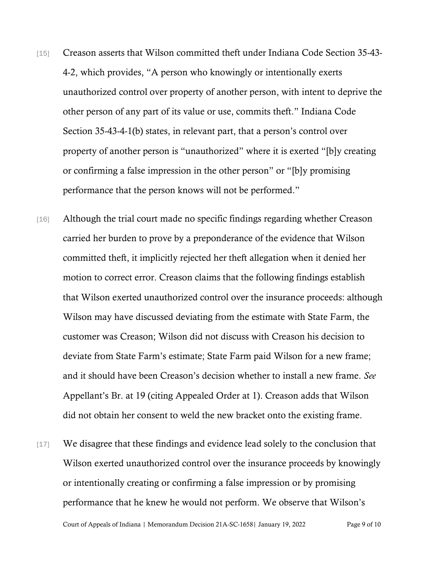- [15] Creason asserts that Wilson committed theft under Indiana Code Section 35-43- 4-2, which provides, "A person who knowingly or intentionally exerts unauthorized control over property of another person, with intent to deprive the other person of any part of its value or use, commits theft." Indiana Code Section 35-43-4-1(b) states, in relevant part, that a person's control over property of another person is "unauthorized" where it is exerted "[b]y creating or confirming a false impression in the other person" or "[b]y promising performance that the person knows will not be performed."
- [16] Although the trial court made no specific findings regarding whether Creason carried her burden to prove by a preponderance of the evidence that Wilson committed theft, it implicitly rejected her theft allegation when it denied her motion to correct error. Creason claims that the following findings establish that Wilson exerted unauthorized control over the insurance proceeds: although Wilson may have discussed deviating from the estimate with State Farm, the customer was Creason; Wilson did not discuss with Creason his decision to deviate from State Farm's estimate; State Farm paid Wilson for a new frame; and it should have been Creason's decision whether to install a new frame. *See* Appellant's Br. at 19 (citing Appealed Order at 1). Creason adds that Wilson did not obtain her consent to weld the new bracket onto the existing frame.
- [17] We disagree that these findings and evidence lead solely to the conclusion that Wilson exerted unauthorized control over the insurance proceeds by knowingly or intentionally creating or confirming a false impression or by promising performance that he knew he would not perform. We observe that Wilson's

Court of Appeals of Indiana | Memorandum Decision 21A-SC-1658| January 19, 2022 Page 9 of 10